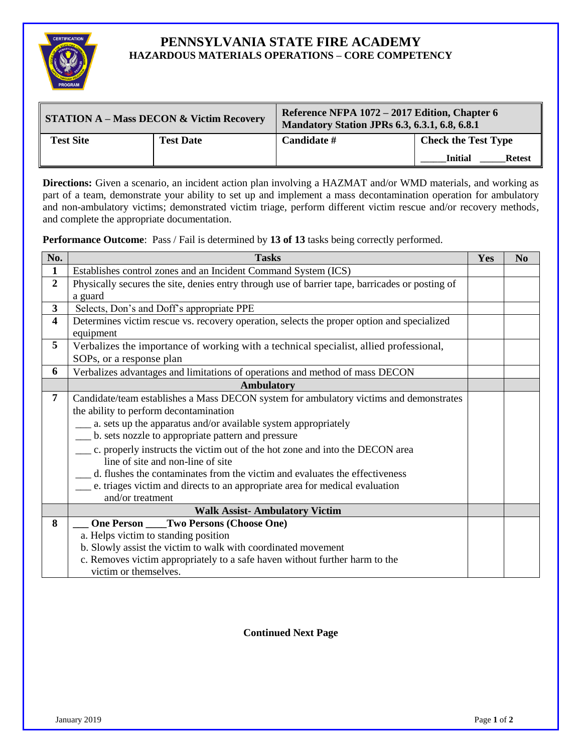

## **PENNSYLVANIA STATE FIRE ACADEMY HAZARDOUS MATERIALS OPERATIONS – CORE COMPETENCY**

| STATION A – Mass DECON & Victim Recovery |                  | Reference NFPA 1072 - 2017 Edition, Chapter 6<br><b>Mandatory Station JPRs 6.3, 6.3.1, 6.8, 6.8.1</b> |                                 |  |
|------------------------------------------|------------------|-------------------------------------------------------------------------------------------------------|---------------------------------|--|
| <b>Test Site</b>                         | <b>Test Date</b> | Candidate #                                                                                           | <b>Check the Test Type</b>      |  |
|                                          |                  |                                                                                                       | <b>Initial</b><br><b>Retest</b> |  |

**Directions:** Given a scenario, an incident action plan involving a HAZMAT and/or WMD materials, and working as part of a team, demonstrate your ability to set up and implement a mass decontamination operation for ambulatory and non-ambulatory victims; demonstrated victim triage, perform different victim rescue and/or recovery methods, and complete the appropriate documentation.

**Performance Outcome**: Pass / Fail is determined by **13 of 13** tasks being correctly performed.

| No.                     | <b>Tasks</b>                                                                                    | Yes | N <sub>0</sub> |
|-------------------------|-------------------------------------------------------------------------------------------------|-----|----------------|
| 1                       | Establishes control zones and an Incident Command System (ICS)                                  |     |                |
| $\overline{2}$          | Physically secures the site, denies entry through use of barrier tape, barricades or posting of |     |                |
|                         | a guard                                                                                         |     |                |
| $\overline{\mathbf{3}}$ | Selects, Don's and Doff's appropriate PPE                                                       |     |                |
| $\overline{\mathbf{4}}$ | Determines victim rescue vs. recovery operation, selects the proper option and specialized      |     |                |
|                         | equipment                                                                                       |     |                |
| 5                       | Verbalizes the importance of working with a technical specialist, allied professional,          |     |                |
|                         | SOPs, or a response plan                                                                        |     |                |
| 6                       | Verbalizes advantages and limitations of operations and method of mass DECON                    |     |                |
|                         | <b>Ambulatory</b>                                                                               |     |                |
| 7                       | Candidate/team establishes a Mass DECON system for ambulatory victims and demonstrates          |     |                |
|                         | the ability to perform decontamination                                                          |     |                |
|                         | a. sets up the apparatus and/or available system appropriately                                  |     |                |
|                         | b. sets nozzle to appropriate pattern and pressure                                              |     |                |
|                         | c. properly instructs the victim out of the hot zone and into the DECON area                    |     |                |
|                         | line of site and non-line of site                                                               |     |                |
|                         | d. flushes the contaminates from the victim and evaluates the effectiveness                     |     |                |
|                         | e. triages victim and directs to an appropriate area for medical evaluation                     |     |                |
|                         | and/or treatment                                                                                |     |                |
|                         | <b>Walk Assist-Ambulatory Victim</b>                                                            |     |                |
| 8                       | <b>One Person _____ Two Persons (Choose One)</b>                                                |     |                |
|                         | a. Helps victim to standing position                                                            |     |                |
|                         | b. Slowly assist the victim to walk with coordinated movement                                   |     |                |
|                         | c. Removes victim appropriately to a safe haven without further harm to the                     |     |                |
|                         | victim or themselves.                                                                           |     |                |

## **Continued Next Page**